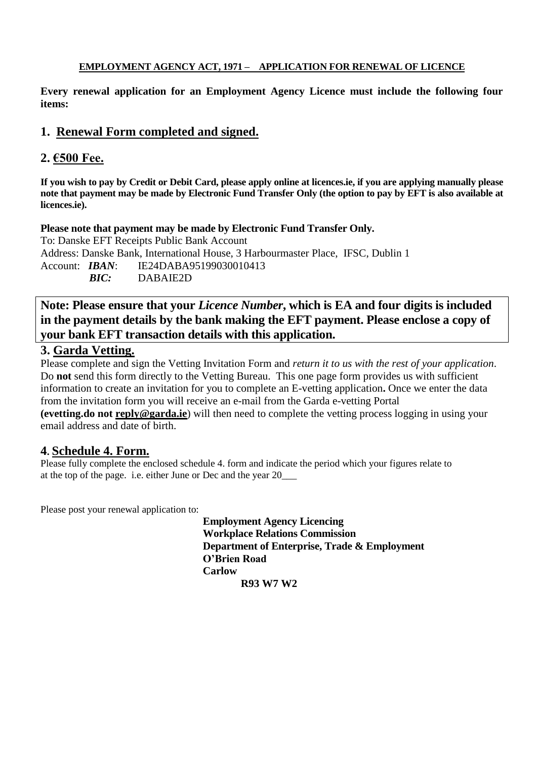#### **EMPLOYMENT AGENCY ACT, 1971 – APPLICATION FOR RENEWAL OF LICENCE**

**Every renewal application for an Employment Agency Licence must include the following four items:**

## **1. Renewal Form completed and signed.**

## **2. €500 Fee.**

**If you wish to pay by Credit or Debit Card, please apply online at licences.ie, if you are applying manually please note that payment may be made by Electronic Fund Transfer Only (the option to pay by EFT is also available at licences.ie).**

**Please note that payment may be made by Electronic Fund Transfer Only.**

To: Danske EFT Receipts Public Bank Account Address: Danske Bank, International House, 3 Harbourmaster Place, IFSC, Dublin 1 Account: *IBAN*: IE24DABA95199030010413 *BIC:* DABAIE2D

**Note: Please ensure that your** *Licence Number***, which is EA and four digits is included in the payment details by the bank making the EFT payment. Please enclose a copy of your bank EFT transaction details with this application.**

## **3. Garda Vetting.**

Please complete and sign the Vetting Invitation Form and *return it to us with the rest of your application*. Do **not** send this form directly to the Vetting Bureau. This one page form provides us with sufficient information to create an invitation for you to complete an E-vetting application**.** Once we enter the data from the invitation form you will receive an e-mail from the Garda e-vetting Portal **(evetting.do not [reply@garda.ie](mailto:reply@garda.ie)**) will then need to complete the vetting process logging in using your email address and date of birth.

## **4. Schedule 4. Form.**

Please fully complete the enclosed schedule 4. form and indicate the period which your figures relate to at the top of the page. i.e. either June or Dec and the year 20\_\_\_

Please post your renewal application to:

**Employment Agency Licencing Workplace Relations Commission Department of Enterprise, Trade & Employment O'Brien Road Carlow R93 W7 W2**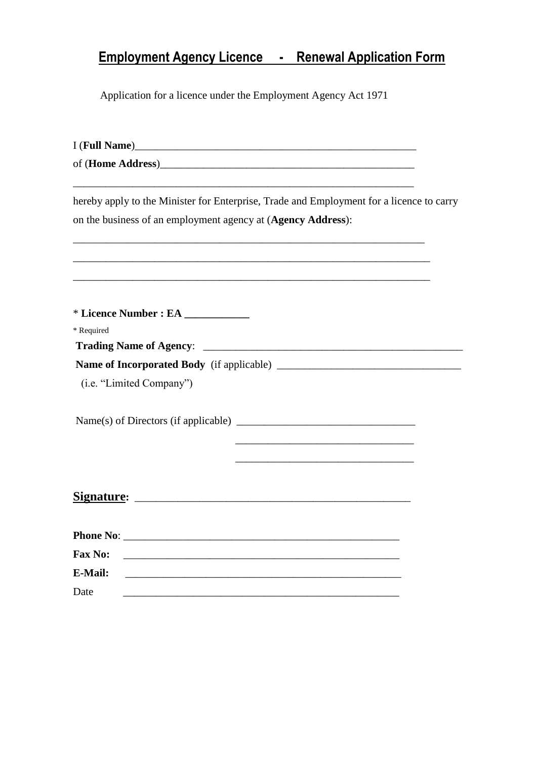# **Employment Agency Licence - Renewal Application Form**

Application for a licence under the Employment Agency Act 1971

| I (Full Name)                                                                                                                           |
|-----------------------------------------------------------------------------------------------------------------------------------------|
|                                                                                                                                         |
| hereby apply to the Minister for Enterprise, Trade and Employment for a licence to carry                                                |
| on the business of an employment agency at (Agency Address):                                                                            |
|                                                                                                                                         |
|                                                                                                                                         |
| * Licence Number : EA ____________                                                                                                      |
| * Required                                                                                                                              |
|                                                                                                                                         |
|                                                                                                                                         |
| (i.e. "Limited Company")                                                                                                                |
|                                                                                                                                         |
|                                                                                                                                         |
|                                                                                                                                         |
|                                                                                                                                         |
|                                                                                                                                         |
|                                                                                                                                         |
|                                                                                                                                         |
| <b>Fax No:</b><br><u> 1989 - Johann Stoff, deutscher Stoff, der Stoff, der Stoff, der Stoff, der Stoff, der Stoff, der Stoff, der S</u> |
| <b>E-Mail:</b><br><u> 1989 - Johann Stoff, amerikansk politiker (d. 1989)</u>                                                           |
| Date                                                                                                                                    |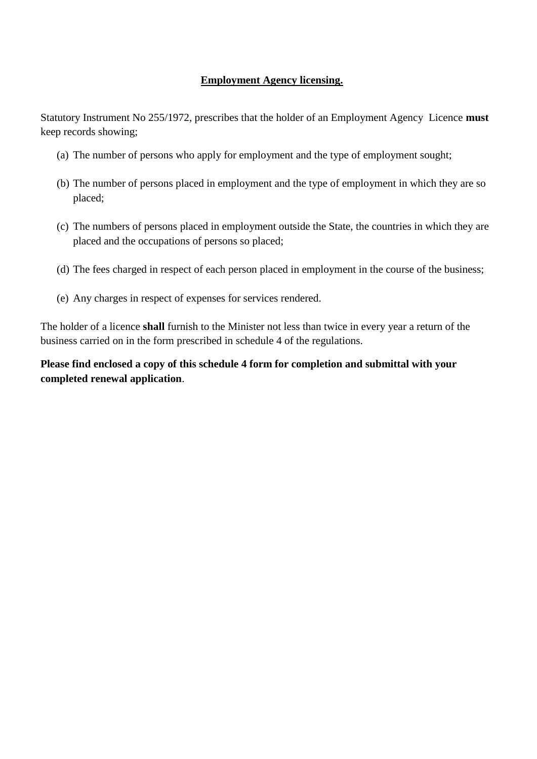#### **Employment Agency licensing.**

Statutory Instrument No 255/1972, prescribes that the holder of an Employment Agency Licence **must**  keep records showing;

- (a) The number of persons who apply for employment and the type of employment sought;
- (b) The number of persons placed in employment and the type of employment in which they are so placed;
- (c) The numbers of persons placed in employment outside the State, the countries in which they are placed and the occupations of persons so placed;
- (d) The fees charged in respect of each person placed in employment in the course of the business;
- (e) Any charges in respect of expenses for services rendered.

The holder of a licence **shall** furnish to the Minister not less than twice in every year a return of the business carried on in the form prescribed in schedule 4 of the regulations.

**Please find enclosed a copy of this schedule 4 form for completion and submittal with your completed renewal application**.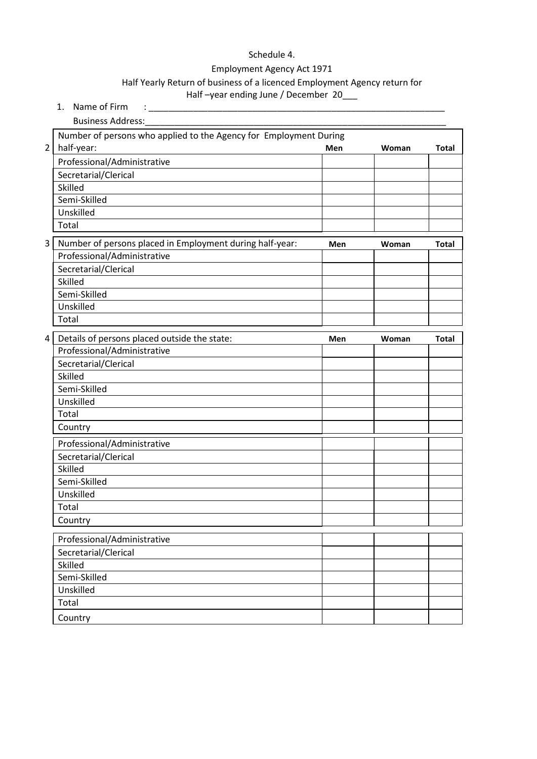## Schedule 4.

#### Employment Agency Act 1971

## Half Yearly Return of business of a licenced Employment Agency return for

#### Half-year ending June / December 20\_\_\_

|                         | 1. Name of Firm                                                                          |     |       |              |  |  |  |  |  |  |  |  |  |  |
|-------------------------|------------------------------------------------------------------------------------------|-----|-------|--------------|--|--|--|--|--|--|--|--|--|--|
|                         | <b>Business Address:</b>                                                                 |     |       |              |  |  |  |  |  |  |  |  |  |  |
|                         | Number of persons who applied to the Agency for Employment During                        |     |       |              |  |  |  |  |  |  |  |  |  |  |
| $\overline{\mathbf{c}}$ | half-year:                                                                               | Men | Woman | <b>Total</b> |  |  |  |  |  |  |  |  |  |  |
|                         | Professional/Administrative                                                              |     |       |              |  |  |  |  |  |  |  |  |  |  |
|                         | Secretarial/Clerical                                                                     |     |       |              |  |  |  |  |  |  |  |  |  |  |
|                         | Skilled                                                                                  |     |       |              |  |  |  |  |  |  |  |  |  |  |
|                         | Semi-Skilled                                                                             |     |       |              |  |  |  |  |  |  |  |  |  |  |
|                         | Unskilled                                                                                |     |       |              |  |  |  |  |  |  |  |  |  |  |
|                         | Total                                                                                    |     |       |              |  |  |  |  |  |  |  |  |  |  |
| $\overline{3}$          | Number of persons placed in Employment during half-year:<br>Men<br>Woman<br><b>Total</b> |     |       |              |  |  |  |  |  |  |  |  |  |  |
|                         | Professional/Administrative                                                              |     |       |              |  |  |  |  |  |  |  |  |  |  |
|                         | Secretarial/Clerical                                                                     |     |       |              |  |  |  |  |  |  |  |  |  |  |
|                         | Skilled                                                                                  |     |       |              |  |  |  |  |  |  |  |  |  |  |
|                         | Semi-Skilled                                                                             |     |       |              |  |  |  |  |  |  |  |  |  |  |
|                         | Unskilled                                                                                |     |       |              |  |  |  |  |  |  |  |  |  |  |
|                         | Total                                                                                    |     |       |              |  |  |  |  |  |  |  |  |  |  |
| 4                       | Details of persons placed outside the state:                                             | Men | Woman | <b>Total</b> |  |  |  |  |  |  |  |  |  |  |
|                         | Professional/Administrative                                                              |     |       |              |  |  |  |  |  |  |  |  |  |  |
|                         | Secretarial/Clerical                                                                     |     |       |              |  |  |  |  |  |  |  |  |  |  |
|                         | Skilled                                                                                  |     |       |              |  |  |  |  |  |  |  |  |  |  |
|                         | Semi-Skilled                                                                             |     |       |              |  |  |  |  |  |  |  |  |  |  |
|                         | Unskilled                                                                                |     |       |              |  |  |  |  |  |  |  |  |  |  |
|                         | Total                                                                                    |     |       |              |  |  |  |  |  |  |  |  |  |  |
|                         | Country                                                                                  |     |       |              |  |  |  |  |  |  |  |  |  |  |
|                         | Professional/Administrative                                                              |     |       |              |  |  |  |  |  |  |  |  |  |  |
|                         | Secretarial/Clerical                                                                     |     |       |              |  |  |  |  |  |  |  |  |  |  |
|                         | Skilled                                                                                  |     |       |              |  |  |  |  |  |  |  |  |  |  |
|                         | Semi-Skilled                                                                             |     |       |              |  |  |  |  |  |  |  |  |  |  |
|                         | Unskilled                                                                                |     |       |              |  |  |  |  |  |  |  |  |  |  |
|                         | Total                                                                                    |     |       |              |  |  |  |  |  |  |  |  |  |  |
|                         | Country                                                                                  |     |       |              |  |  |  |  |  |  |  |  |  |  |
|                         | Professional/Administrative                                                              |     |       |              |  |  |  |  |  |  |  |  |  |  |
|                         | Secretarial/Clerical                                                                     |     |       |              |  |  |  |  |  |  |  |  |  |  |
|                         | Skilled                                                                                  |     |       |              |  |  |  |  |  |  |  |  |  |  |
|                         | Semi-Skilled                                                                             |     |       |              |  |  |  |  |  |  |  |  |  |  |
|                         | Unskilled                                                                                |     |       |              |  |  |  |  |  |  |  |  |  |  |
|                         | Total                                                                                    |     |       |              |  |  |  |  |  |  |  |  |  |  |
|                         | Country                                                                                  |     |       |              |  |  |  |  |  |  |  |  |  |  |
|                         |                                                                                          |     |       |              |  |  |  |  |  |  |  |  |  |  |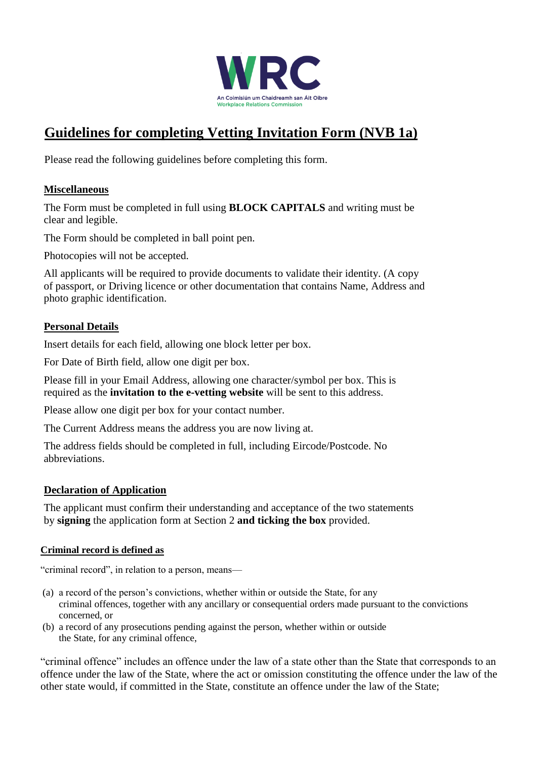

## **Guidelines for completing Vetting Invitation Form (NVB 1a)**

Please read the following guidelines before completing this form.

#### **Miscellaneous**

The Form must be completed in full using **BLOCK CAPITALS** and writing must be clear and legible.

The Form should be completed in ball point pen.

Photocopies will not be accepted.

All applicants will be required to provide documents to validate their identity. (A copy of passport, or Driving licence or other documentation that contains Name, Address and photo graphic identification.

#### **Personal Details**

Insert details for each field, allowing one block letter per box.

For Date of Birth field, allow one digit per box.

Please fill in your Email Address, allowing one character/symbol per box. This is required as the **invitation to the e-vetting website** will be sent to this address.

Please allow one digit per box for your contact number.

The Current Address means the address you are now living at.

The address fields should be completed in full, including Eircode/Postcode. No abbreviations.

#### **Declaration of Application**

The applicant must confirm their understanding and acceptance of the two statements by **signing** the application form at Section 2 **and ticking the box** provided.

#### **Criminal record is defined as**

"criminal record", in relation to a person, means—

- (a) a record of the person's convictions, whether within or outside the State, for any criminal offences, together with any ancillary or consequential orders made pursuant to the convictions concerned, or
- (b) a record of any prosecutions pending against the person, whether within or outside the State, for any criminal offence,

"criminal offence" includes an offence under the law of a state other than the State that corresponds to an offence under the law of the State, where the act or omission constituting the offence under the law of the other state would, if committed in the State, constitute an offence under the law of the State;